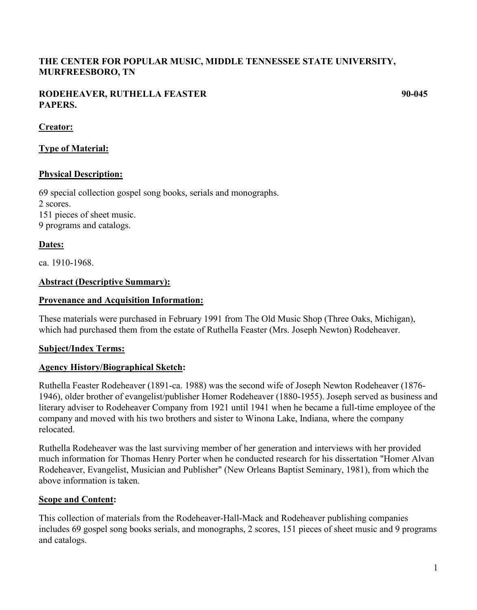# **THE CENTER FOR POPULAR MUSIC, MIDDLE TENNESSEE STATE UNIVERSITY, MURFREESBORO, TN**

## **RODEHEAVER, RUTHELLA FEASTER 90-045 PAPERS.**

# **Creator:**

# **Type of Material:**

## **Physical Description:**

69 special collection gospel song books, serials and monographs. 2 scores. 151 pieces of sheet music. 9 programs and catalogs.

# **Dates:**

ca. 1910-1968.

# **Abstract (Descriptive Summary):**

## **Provenance and Acquisition Information:**

These materials were purchased in February 1991 from The Old Music Shop (Three Oaks, Michigan), which had purchased them from the estate of Ruthella Feaster (Mrs. Joseph Newton) Rodeheaver.

## **Subject/Index Terms:**

## **Agency History/Biographical Sketch:**

Ruthella Feaster Rodeheaver (1891-ca. 1988) was the second wife of Joseph Newton Rodeheaver (1876- 1946), older brother of evangelist/publisher Homer Rodeheaver (1880-1955). Joseph served as business and literary adviser to Rodeheaver Company from 1921 until 1941 when he became a full-time employee of the company and moved with his two brothers and sister to Winona Lake, Indiana, where the company relocated.

Ruthella Rodeheaver was the last surviving member of her generation and interviews with her provided much information for Thomas Henry Porter when he conducted research for his dissertation "Homer Alvan Rodeheaver, Evangelist, Musician and Publisher" (New Orleans Baptist Seminary, 1981), from which the above information is taken.

## **Scope and Content:**

This collection of materials from the Rodeheaver-Hall-Mack and Rodeheaver publishing companies includes 69 gospel song books serials, and monographs, 2 scores, 151 pieces of sheet music and 9 programs and catalogs.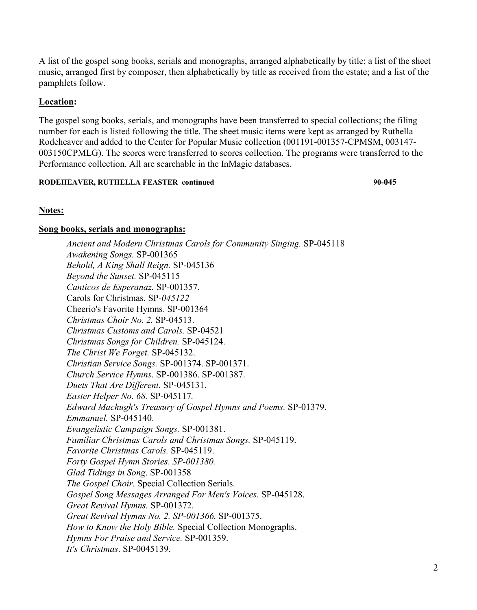A list of the gospel song books, serials and monographs, arranged alphabetically by title; a list of the sheet music, arranged first by composer, then alphabetically by title as received from the estate; and a list of the pamphlets follow.

## **Location:**

The gospel song books, serials, and monographs have been transferred to special collections; the filing number for each is listed following the title. The sheet music items were kept as arranged by Ruthella Rodeheaver and added to the Center for Popular Music collection (001191-001357-CPMSM, 003147- 003150CPMLG). The scores were transferred to scores collection. The programs were transferred to the Performance collection. All are searchable in the InMagic databases.

## **RODEHEAVER, RUTHELLA FEASTER continued 90-045 90-045**

## **Notes:**

## **Song books, serials and monographs:**

*Ancient and Modern Christmas Carols for Community Singing.* SP-045118 *Awakening Songs.* SP-001365 *Behold, A King Shall Reign.* SP-045136 *Beyond the Sunset.* SP-045115 *Canticos de Esperanaz.* SP*-*001357. Carols for Christmas. SP*-045122*  Cheerio's Favorite Hymns. SP-001364 *Christmas Choir No. 2.* SP-04513. *Christmas Customs and Carols.* SP-04521 *Christmas Songs for Children.* SP-045124. *The Christ We Forget.* SP-045132. *Christian Service Songs.* SP-001374. SP-001371. *Church Service Hymns*. SP-001386. SP-001387. *Duets That Are Different.* SP-045131. *Easter Helper No. 68.* SP-045117*. Edward Machugh's Treasury of Gospel Hymns and Poems.* SP-01379. *Emmanuel.* SP-045140. *Evangelistic Campaign Songs.* SP-001381. *Familiar Christmas Carols and Christmas Songs.* SP-045119. *Favorite Christmas Carols.* SP-045119. *Forty Gospel Hymn Stories*. *SP-001380. Glad Tidings in Song*. SP-001358 *The Gospel Choir.* Special Collection Serials. *Gospel Song Messages Arranged For Men's Voices.* SP-045128. *Great Revival Hymns.* SP-001372. *Great Revival Hymns No. 2. SP-001366.* SP-001375. *How to Know the Holy Bible.* Special Collection Monographs. *Hymns For Praise and Service.* SP-001359. *It's Christmas*. SP-0045139.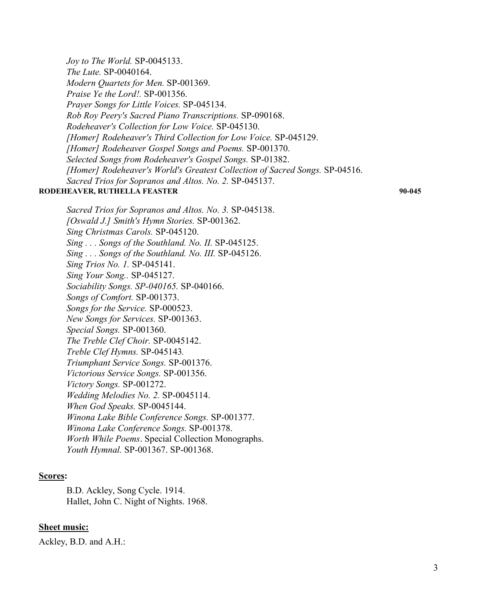*Joy to The World.* SP-0045133. *The Lute.* SP-0040164. *Modern Quartets for Men.* SP-001369. *Praise Ye the Lord!.* SP-001356. *Prayer Songs for Little Voices.* SP-045134. *Rob Roy Peery's Sacred Piano Transcriptions.* SP-090168. *Rodeheaver's Collection for Low Voice.* SP-045130. *[Homer] Rodeheaver's Third Collection for Low Voice.* SP-045129. *[Homer] Rodeheaver Gospel Songs and Poems.* SP-001370. *Selected Songs from Rodeheaver's Gospel Songs.* SP-01382. *[Homer] Rodeheaver's World's Greatest Collection of Sacred Songs.* SP-04516. *Sacred Trios for Sopranos and Altos. No. 2.* SP-045137. **RODEHEAVER, RUTHELLA FEASTER 90-045** 

*Sacred Trios for Sopranos and Altos. No. 3.* SP-045138. *[Oswald J.] Smith's Hymn Stories.* SP-001362. *Sing Christmas Carols.* SP-045120. *Sing . . . Songs of the Southland. No. II.* SP-045125. *Sing . . . Songs of the Southland. No. III.* SP-045126. *Sing Trios No. 1.* SP-045141. *Sing Your Song..* SP-045127. *Sociability Songs. SP-040165.* SP-040166. *Songs of Comfort.* SP-001373. *Songs for the Service.* SP-000523. *New Songs for Services.* SP-001363. *Special Songs.* SP-001360. *The Treble Clef Choir.* SP-0045142. *Treble Clef Hymns.* SP-045143*. Triumphant Service Songs.* SP-001376. *Victorious Service Songs.* SP-001356. *Victory Songs.* SP-001272. *Wedding Melodies No. 2.* SP-0045114. *When God Speaks.* SP-0045144. *Winona Lake Bible Conference Songs.* SP-001377. *Winona Lake Conference Songs.* SP-001378. *Worth While Poems*. Special Collection Monographs. *Youth Hymnal.* SP-001367. SP-001368.

#### **Scores:**

B.D. Ackley, Song Cycle. 1914. Hallet, John C. Night of Nights. 1968.

#### **Sheet music:**

Ackley, B.D. and A.H.: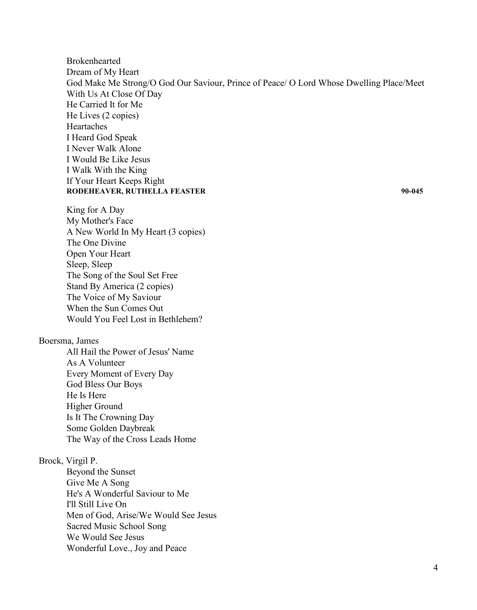Brokenhearted Dream of My Heart God Make Me Strong/O God Our Saviour, Prince of Peace/ O Lord Whose Dwelling Place/Meet With Us At Close Of Day He Carried It for Me He Lives (2 copies) Heartaches I Heard God Speak I Never Walk Alone I Would Be Like Jesus I Walk With the King If Your Heart Keeps Right **RODEHEAVER, RUTHELLA FEASTER 90-045** 

King for A Day My Mother's Face A New World In My Heart (3 copies) The One Divine Open Your Heart Sleep, Sleep The Song of the Soul Set Free Stand By America (2 copies) The Voice of My Saviour When the Sun Comes Out Would You Feel Lost in Bethlehem?

#### Boersma, James

All Hail the Power of Jesus' Name As A Volunteer Every Moment of Every Day God Bless Our Boys He Is Here Higher Ground Is It The Crowning Day Some Golden Daybreak The Way of the Cross Leads Home

#### Brock, Virgil P.

Beyond the Sunset Give Me A Song He's A Wonderful Saviour to Me I'll Still Live On Men of God, Arise/We Would See Jesus Sacred Music School Song We Would See Jesus Wonderful Love., Joy and Peace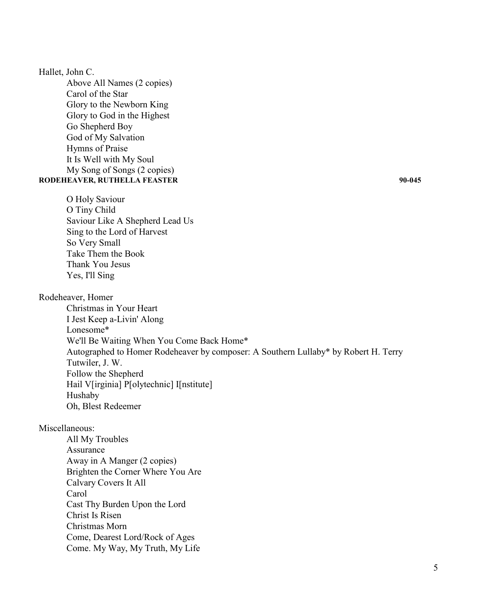### Hallet, John C.

Above All Names (2 copies) Carol of the Star Glory to the Newborn King Glory to God in the Highest Go Shepherd Boy God of My Salvation Hymns of Praise It Is Well with My Soul My Song of Songs (2 copies) **RODEHEAVER, RUTHELLA FEASTER 90-045** 

O Holy Saviour O Tiny Child Saviour Like A Shepherd Lead Us Sing to the Lord of Harvest So Very Small Take Them the Book Thank You Jesus Yes, I'll Sing

## Rodeheaver, Homer

Christmas in Your Heart I Jest Keep a-Livin' Along Lonesome\* We'll Be Waiting When You Come Back Home\* Autographed to Homer Rodeheaver by composer: A Southern Lullaby\* by Robert H. Terry Tutwiler, J. W. Follow the Shepherd Hail V[irginia] P[olytechnic] I[nstitute] Hushaby Oh, Blest Redeemer

## Miscellaneous:

All My Troubles Assurance Away in A Manger (2 copies) Brighten the Corner Where You Are Calvary Covers It All Carol Cast Thy Burden Upon the Lord Christ Is Risen Christmas Morn Come, Dearest Lord/Rock of Ages Come. My Way, My Truth, My Life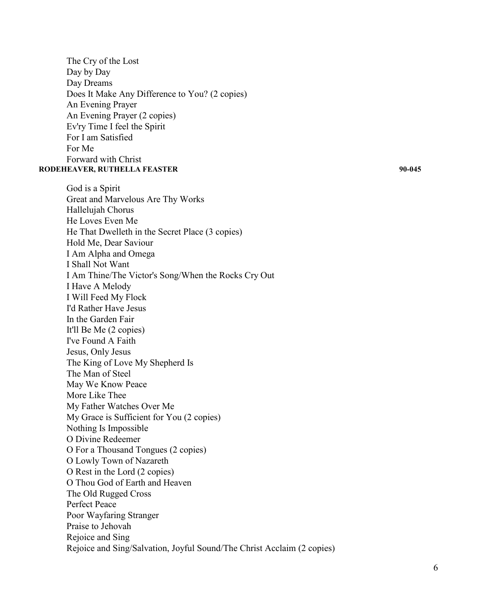The Cry of the Lost Day by Day Day Dreams Does It Make Any Difference to You? (2 copies) An Evening Prayer An Evening Prayer (2 copies) Ev'ry Time I feel the Spirit For I am Satisfied For Me Forward with Christ

#### **RODEHEAVER, RUTHELLA FEASTER 90-045**

God is a Spirit Great and Marvelous Are Thy Works Hallelujah Chorus He Loves Even Me He That Dwelleth in the Secret Place (3 copies) Hold Me, Dear Saviour I Am Alpha and Omega I Shall Not Want I Am Thine/The Victor's Song/When the Rocks Cry Out I Have A Melody I Will Feed My Flock I'd Rather Have Jesus In the Garden Fair It'll Be Me (2 copies) I've Found A Faith Jesus, Only Jesus The King of Love My Shepherd Is The Man of Steel May We Know Peace More Like Thee My Father Watches Over Me My Grace is Sufficient for You (2 copies) Nothing Is Impossible O Divine Redeemer O For a Thousand Tongues (2 copies) O Lowly Town of Nazareth O Rest in the Lord (2 copies) O Thou God of Earth and Heaven The Old Rugged Cross Perfect Peace Poor Wayfaring Stranger Praise to Jehovah Rejoice and Sing Rejoice and Sing/Salvation, Joyful Sound/The Christ Acclaim (2 copies)